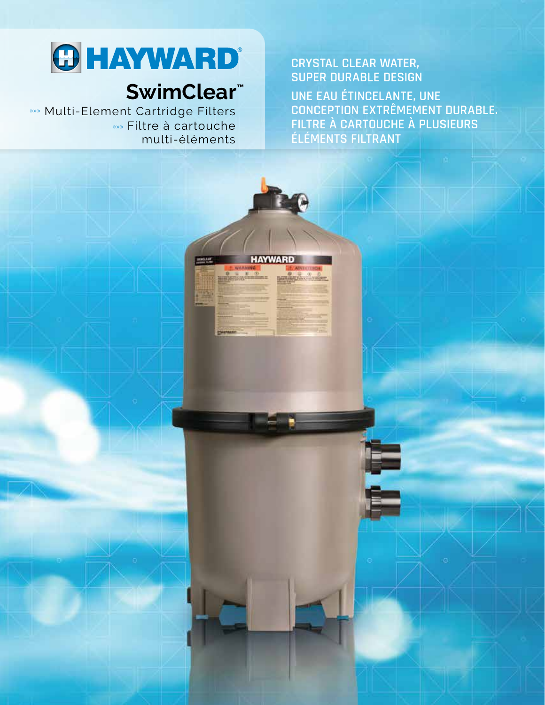# **O HAYWARD**

# SwimClear<sup>™</sup>

**>>>** Multi-Element Cartridge Filters »» Filtre à cartouche multi-éléments

### **CRYSTAL CLEAR WATER, SUPER DURABLE DESIGN**

UNE EAU ÉTINCELANTE, UNE **CONCEPTION EXTRÊMEMENT DURABLE.** FILTRE À CARTOUCHE À PLUSIEURS ÉLÉMENTS FILTRANT